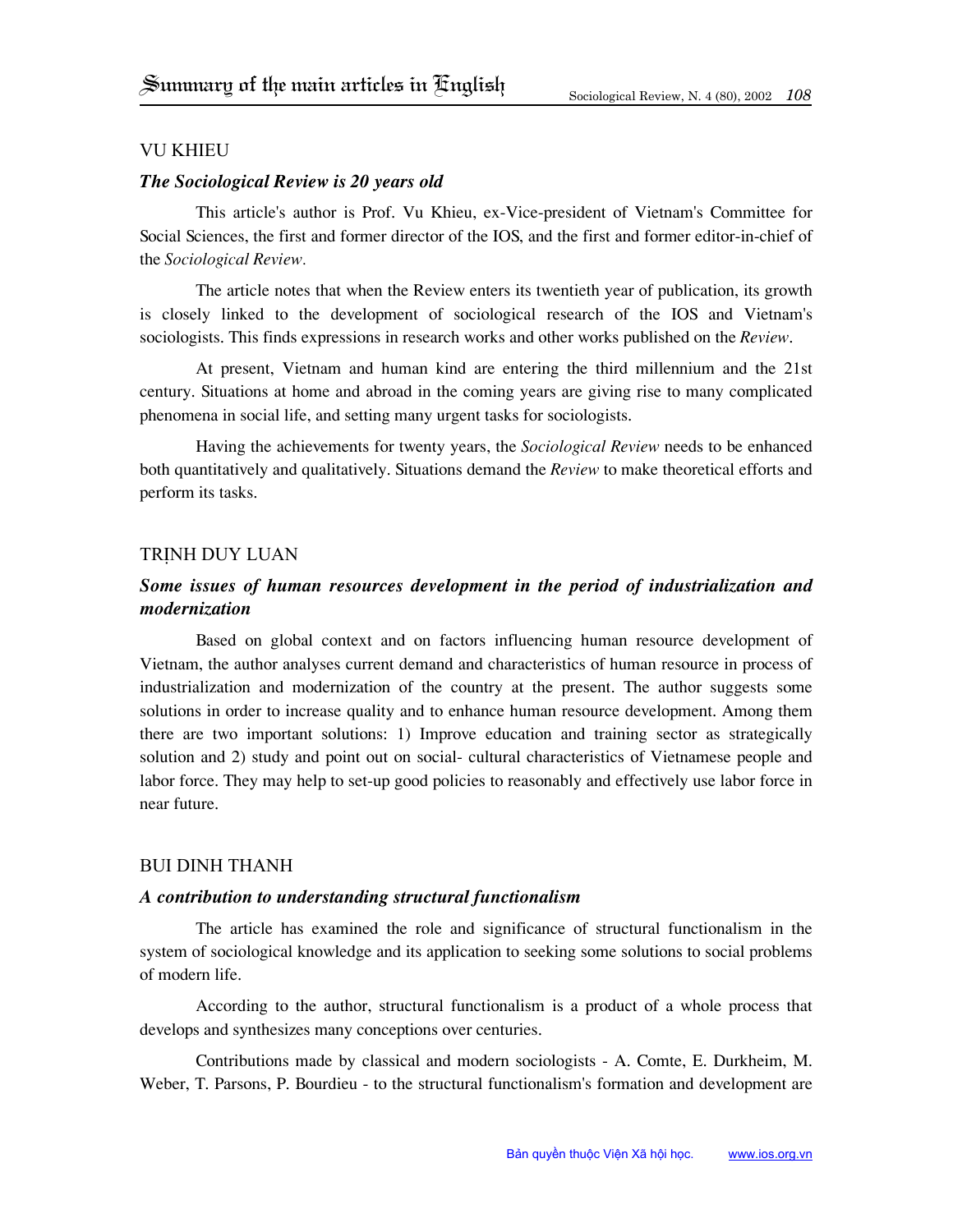### Vu Khieu

### *The Sociological Review is 20 years old*

This article's author is Prof. Vu Khieu, ex-Vice-president of Vietnam's Committee for Social Sciences, the first and former director of the IOS, and the first and former editor-in-chief of the *Sociological Review.* 

The article notes that when the Review enters its twentieth year of publication, its growth is closely linked to the development of sociological research of the IOS and Vietnam's sociologists. This finds expressions in research works and other works published on the *Review*.

At present, Vietnam and human kind are entering the third millennium and the 21st century. Situations at home and abroad in the coming years are giving rise to many complicated phenomena in social life, and setting many urgent tasks for sociologists.

Having the achievements for twenty years, the *Sociological Review* needs to be enhanced both quantitatively and qualitatively. Situations demand the *Review* to make theoretical efforts and perform its tasks.

## TRINH DUY LUAN

# *Some issues of human resources development in the period of industrialization and modernization*

Based on global context and on factors influencing human resource development of Vietnam, the author analyses current demand and characteristics of human resource in process of industrialization and modernization of the country at the present. The author suggests some solutions in order to increase quality and to enhance human resource development. Among them there are two important solutions: 1) Improve education and training sector as strategically solution and 2) study and point out on social- cultural characteristics of Vietnamese people and labor force. They may help to set-up good policies to reasonably and effectively use labor force in near future.

### Bui Dinh Thanh

### *A contribution to understanding structural functionalism*

The article has examined the role and significance of structural functionalism in the system of sociological knowledge and its application to seeking some solutions to social problems of modern life.

According to the author, structural functionalism is a product of a whole process that develops and synthesizes many conceptions over centuries.

Contributions made by classical and modern sociologists - A. Comte, E. Durkheim, M. Weber, T. Parsons, P. Bourdieu - to the structural functionalism's formation and development are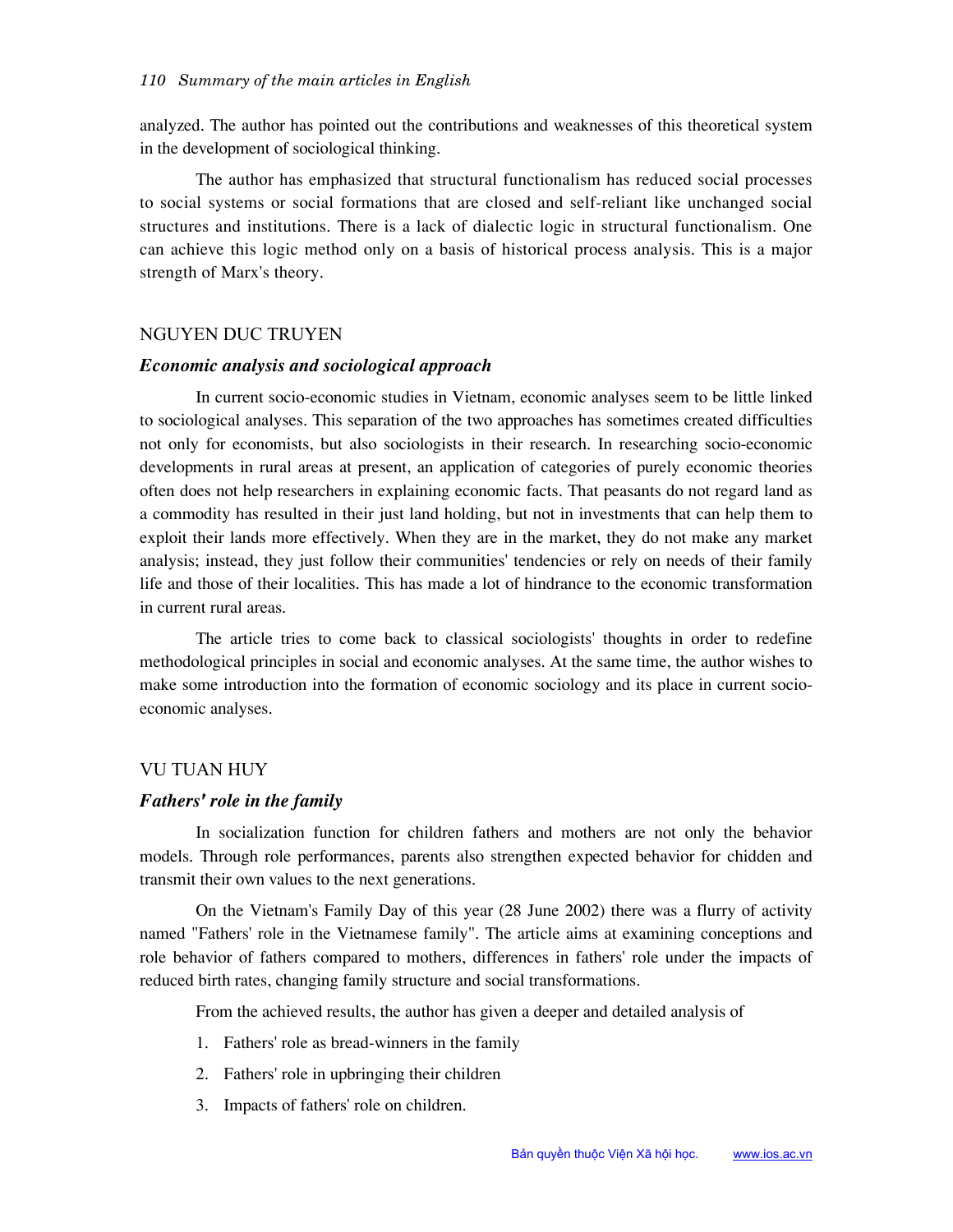analyzed. The author has pointed out the contributions and weaknesses of this theoretical system in the development of sociological thinking.

The author has emphasized that structural functionalism has reduced social processes to social systems or social formations that are closed and self-reliant like unchanged social structures and institutions. There is a lack of dialectic logic in structural functionalism. One can achieve this logic method only on a basis of historical process analysis. This is a major strength of Marx's theory.

## Nguyen Duc Truyen

#### *Economic analysis and sociological approach*

In current socio-economic studies in Vietnam, economic analyses seem to be little linked to sociological analyses. This separation of the two approaches has sometimes created difficulties not only for economists, but also sociologists in their research. In researching socio-economic developments in rural areas at present, an application of categories of purely economic theories often does not help researchers in explaining economic facts. That peasants do not regard land as a commodity has resulted in their just land holding, but not in investments that can help them to exploit their lands more effectively. When they are in the market, they do not make any market analysis; instead, they just follow their communities' tendencies or rely on needs of their family life and those of their localities. This has made a lot of hindrance to the economic transformation in current rural areas.

The article tries to come back to classical sociologists' thoughts in order to redefine methodological principles in social and economic analyses. At the same time, the author wishes to make some introduction into the formation of economic sociology and its place in current socioeconomic analyses.

### Vu Tuan Huy

#### *Fathers' role in the family*

In socialization function for children fathers and mothers are not only the behavior models. Through role performances, parents also strengthen expected behavior for chidden and transmit their own values to the next generations.

On the Vietnam's Family Day of this year (28 June 2002) there was a flurry of activity named "Fathers' role in the Vietnamese family". The article aims at examining conceptions and role behavior of fathers compared to mothers, differences in fathers' role under the impacts of reduced birth rates, changing family structure and social transformations.

From the achieved results, the author has given a deeper and detailed analysis of

- 1. Fathers' role as bread-winners in the family
- 2. Fathers' role in upbringing their children
- 3. Impacts of fathers' role on children.